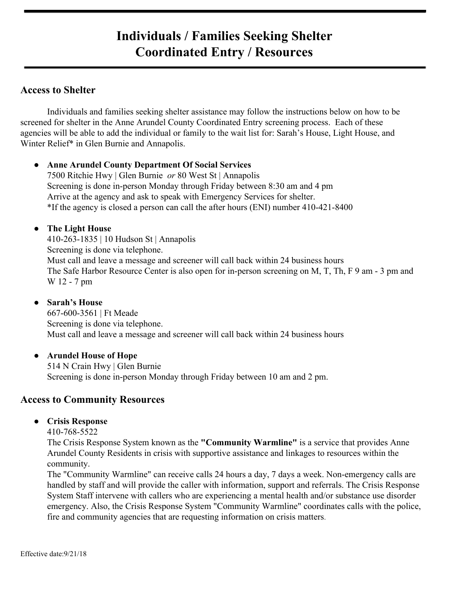## **Individuals / Families Seeking Shelter Coordinated Entry / Resources**

## **Access to Shelter**

Individuals and families seeking shelter assistance may follow the instructions below on how to be screened for shelter in the Anne Arundel County Coordinated Entry screening process. Each of these agencies will be able to add the individual or family to the wait list for: Sarah's House, Light House, and Winter Relief\* in Glen Burnie and Annapolis.

#### **● Anne Arundel County Department Of Social Services**

7500 Ritchie Hwy | Glen Burnie *or* 80 West St | Annapolis Screening is done in-person Monday through Friday between 8:30 am and 4 pm Arrive at the agency and ask to speak with Emergency Services for shelter. \*If the agency is closed a person can call the after hours (ENI) number 410-421-8400

#### **● The Light House**

410-263-1835 | 10 Hudson St | Annapolis Screening is done via telephone. Must call and leave a message and screener will call back within 24 business hours The Safe Harbor Resource Center is also open for in-person screening on M, T, Th, F 9 am - 3 pm and W 12 - 7 pm

#### **● Sarah's House**

667-600-3561 | Ft Meade Screening is done via telephone. Must call and leave a message and screener will call back within 24 business hours

#### **● Arundel House of Hope**

514 N Crain Hwy | Glen Burnie Screening is done in-person Monday through Friday between 10 am and 2 pm.

### **Access to Community Resources**

#### **● Crisis Response**

410-768-5522

The Crisis Response System known as the **"Community Warmline"** is a service that provides Anne Arundel County Residents in crisis with supportive assistance and linkages to resources within the community.

The "Community Warmline" can receive calls 24 hours a day, 7 days a week. Non-emergency calls are handled by staff and will provide the caller with information, support and referrals. The Crisis Response System Staff intervene with callers who are experiencing a mental health and/or substance use disorder emergency. Also, the Crisis Response System "Community Warmline" coordinates calls with the police, fire and community agencies that are requesting information on crisis matters.